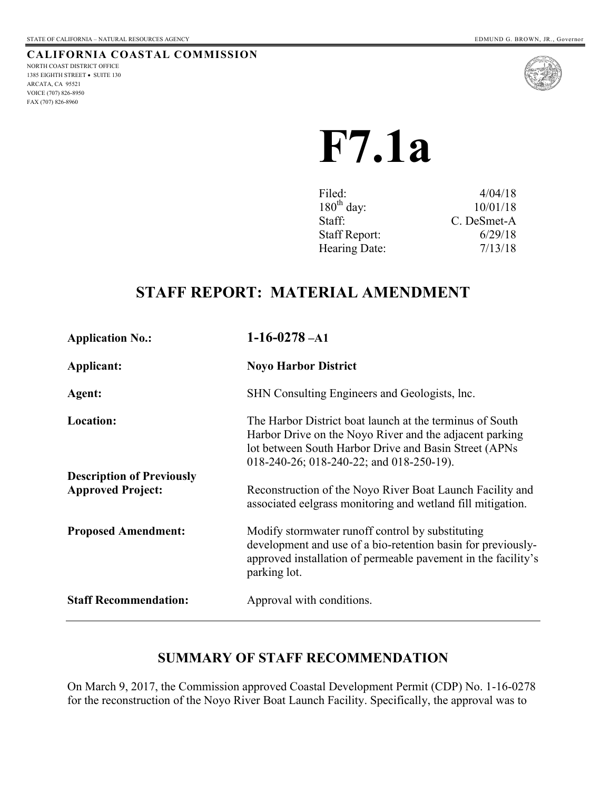FAX (707) 826-8960

#### **CALIFORNIA COASTAL COMMISSION** NORTH COAST DISTRICT OFFICE 1385 EIGHTH STREET . SUITE 130 ARCATA, CA 95521 VOICE (707) 826-8950



# **F7.1a**

| Filed:               | 4/04/18     |
|----------------------|-------------|
| $180th$ day:         | 10/01/18    |
| Staff:               | C. DeSmet-A |
| <b>Staff Report:</b> | 6/29/18     |
| Hearing Date:        | 7/13/18     |

# **STAFF REPORT: MATERIAL AMENDMENT**

| <b>Application No.:</b>                                      | $1-16-0278 - A1$                                                                                                                                                                                                          |
|--------------------------------------------------------------|---------------------------------------------------------------------------------------------------------------------------------------------------------------------------------------------------------------------------|
| Applicant:                                                   | <b>Noyo Harbor District</b>                                                                                                                                                                                               |
| Agent:                                                       | SHN Consulting Engineers and Geologists, Inc.                                                                                                                                                                             |
| <b>Location:</b>                                             | The Harbor District boat launch at the terminus of South<br>Harbor Drive on the Noyo River and the adjacent parking<br>lot between South Harbor Drive and Basin Street (APNs)<br>018-240-26; 018-240-22; and 018-250-19). |
| <b>Description of Previously</b><br><b>Approved Project:</b> | Reconstruction of the Noyo River Boat Launch Facility and<br>associated eelgrass monitoring and wetland fill mitigation.                                                                                                  |
| <b>Proposed Amendment:</b>                                   | Modify stormwater runoff control by substituting<br>development and use of a bio-retention basin for previously-<br>approved installation of permeable pavement in the facility's<br>parking lot.                         |
| <b>Staff Recommendation:</b>                                 | Approval with conditions.                                                                                                                                                                                                 |

# **SUMMARY OF STAFF RECOMMENDATION**

On March 9, 2017, the Commission approved Coastal Development Permit (CDP) No. 1-16-0278 for the reconstruction of the Noyo River Boat Launch Facility. Specifically, the approval was to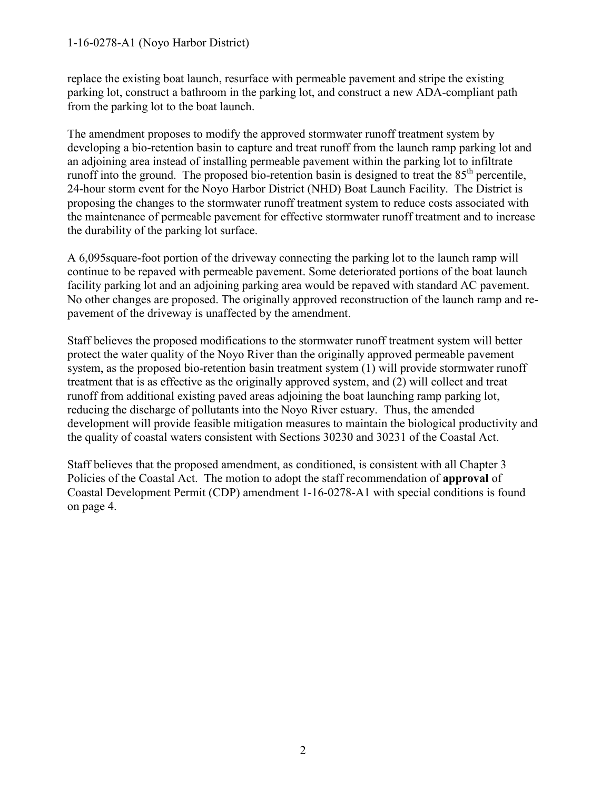#### 1-16-0278-A1 (Noyo Harbor District)

replace the existing boat launch, resurface with permeable pavement and stripe the existing parking lot, construct a bathroom in the parking lot, and construct a new ADA-compliant path from the parking lot to the boat launch.

The amendment proposes to modify the approved stormwater runoff treatment system by developing a bio-retention basin to capture and treat runoff from the launch ramp parking lot and an adjoining area instead of installing permeable pavement within the parking lot to infiltrate runoff into the ground. The proposed bio-retention basin is designed to treat the  $85<sup>th</sup>$  percentile, 24-hour storm event for the Noyo Harbor District (NHD) Boat Launch Facility. The District is proposing the changes to the stormwater runoff treatment system to reduce costs associated with the maintenance of permeable pavement for effective stormwater runoff treatment and to increase the durability of the parking lot surface.

A 6,095square-foot portion of the driveway connecting the parking lot to the launch ramp will continue to be repaved with permeable pavement. Some deteriorated portions of the boat launch facility parking lot and an adjoining parking area would be repaved with standard AC pavement. No other changes are proposed. The originally approved reconstruction of the launch ramp and repavement of the driveway is unaffected by the amendment.

Staff believes the proposed modifications to the stormwater runoff treatment system will better protect the water quality of the Noyo River than the originally approved permeable pavement system, as the proposed bio-retention basin treatment system (1) will provide stormwater runoff treatment that is as effective as the originally approved system, and (2) will collect and treat runoff from additional existing paved areas adjoining the boat launching ramp parking lot, reducing the discharge of pollutants into the Noyo River estuary. Thus, the amended development will provide feasible mitigation measures to maintain the biological productivity and the quality of coastal waters consistent with Sections 30230 and 30231 of the Coastal Act.

Staff believes that the proposed amendment, as conditioned, is consistent with all Chapter 3 Policies of the Coastal Act. The motion to adopt the staff recommendation of **approval** of Coastal Development Permit (CDP) amendment 1-16-0278-A1 with special conditions is found on page 4.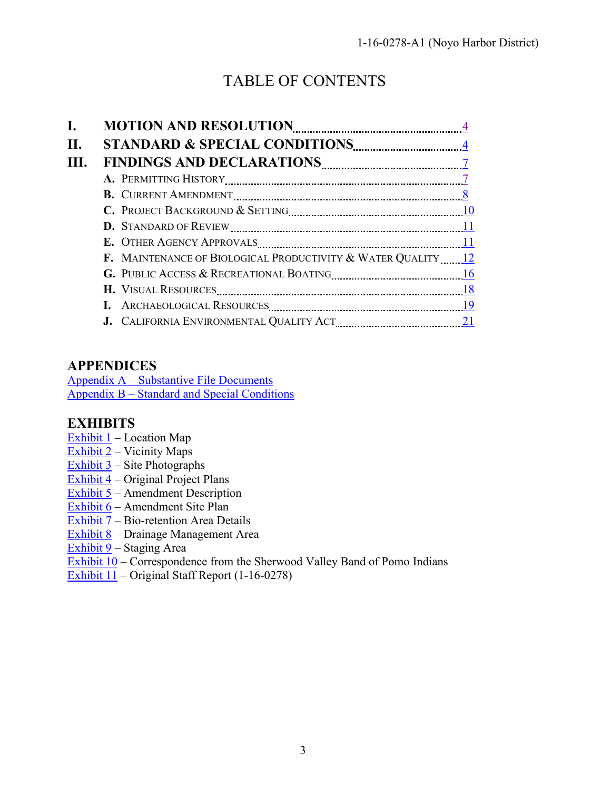# TABLE OF CONTENTS

| H. |                                                              |  |
|----|--------------------------------------------------------------|--|
|    |                                                              |  |
|    |                                                              |  |
|    |                                                              |  |
|    |                                                              |  |
|    |                                                              |  |
|    |                                                              |  |
|    | F. MAINTENANCE OF BIOLOGICAL PRODUCTIVITY & WATER QUALITY 12 |  |
|    |                                                              |  |
|    |                                                              |  |
|    |                                                              |  |
|    |                                                              |  |

# **APPENDICES**

[Appendix A – Substantive File Documents](#page-21-0) [Appendix B – Standard and Special Conditions](https://documents.coastal.ca.gov/reports/2018/7/f7.1a/f7.1a-7-2018-appendix.pdf)

# **EXHIBITS**

- Exhibit  $1$  Location Map
- Exhibit 2 Vicinity Maps
- Exhibit 3 Site Photographs
- Exhibit 4 Original Project Plans
- Exhibit  $\overline{5}$  Amendment Description
- Exhibit 6 Amendment Site Plan
- Exhibit 7 Bio-retention Area Details
- Exhibit 8 Drainage Management Area
- Exhibit 9 Staging Area
- $\overline{\text{Exhibit 10}} \text{Correspondence from the Sherwood Valley Band of Pomo Indians}$
- Exhibit 11 Original Staff Report (1-16-0278)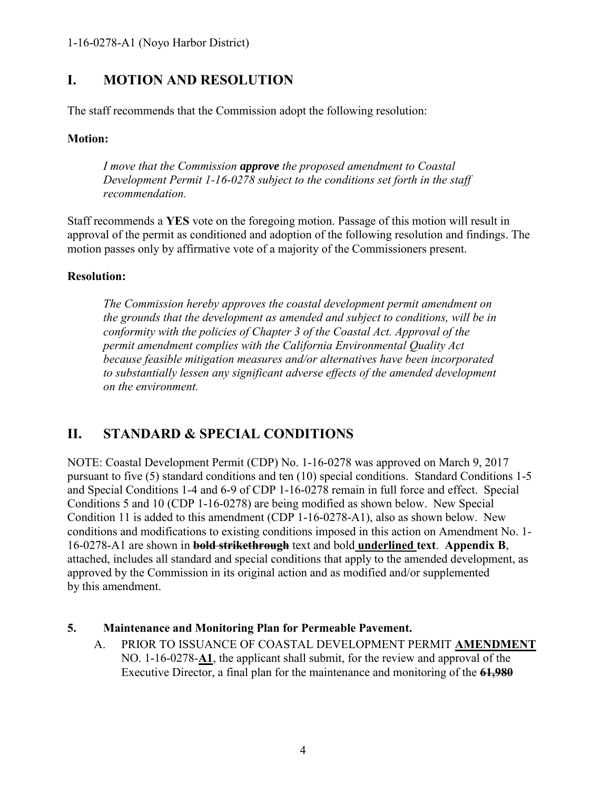# <span id="page-3-0"></span>**I. MOTION AND RESOLUTION**

The staff recommends that the Commission adopt the following resolution:

## **Motion:**

*I move that the Commission approve the proposed amendment to Coastal Development Permit 1-16-0278 subject to the conditions set forth in the staff recommendation.* 

Staff recommends a **YES** vote on the foregoing motion. Passage of this motion will result in approval of the permit as conditioned and adoption of the following resolution and findings. The motion passes only by affirmative vote of a majority of the Commissioners present.

## **Resolution:**

*The Commission hereby approves the coastal development permit amendment on the grounds that the development as amended and subject to conditions, will be in conformity with the policies of Chapter 3 of the Coastal Act. Approval of the permit amendment complies with the California Environmental Quality Act because feasible mitigation measures and/or alternatives have been incorporated to substantially lessen any significant adverse effects of the amended development on the environment.* 

# <span id="page-3-1"></span>**II. STANDARD & SPECIAL CONDITIONS**

NOTE: Coastal Development Permit (CDP) No. 1-16-0278 was approved on March 9, 2017 pursuant to five (5) standard conditions and ten (10) special conditions. Standard Conditions 1-5 and Special Conditions 1-4 and 6-9 of CDP 1-16-0278 remain in full force and effect. Special Conditions 5 and 10 (CDP 1-16-0278) are being modified as shown below. New Special Condition 11 is added to this amendment (CDP 1-16-0278-A1), also as shown below. New conditions and modifications to existing conditions imposed in this action on Amendment No. 1- 16-0278-A1 are shown in **bold strikethrough** text and bold **underlined text**. **Appendix B**, attached, includes all standard and special conditions that apply to the amended development, as approved by the Commission in its original action and as modified and/or supplemented by this amendment.

## **5. Maintenance and Monitoring Plan for Permeable Pavement.**

A. PRIOR TO ISSUANCE OF COASTAL DEVELOPMENT PERMIT **AMENDMENT**  NO. 1-16-0278-**A1**, the applicant shall submit, for the review and approval of the Executive Director, a final plan for the maintenance and monitoring of the **61,980**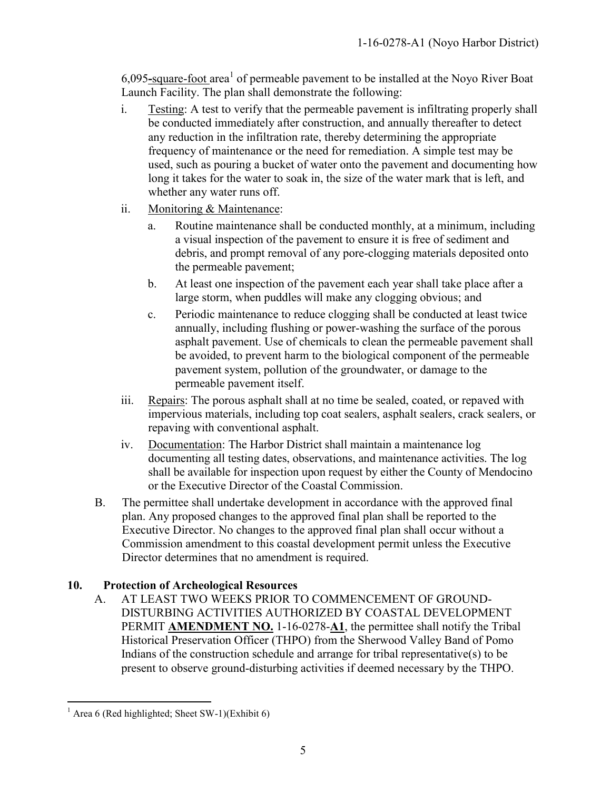6,095-square-foot area<sup>1</sup> of permeable pavement to be installed at the Noyo River Boat Launch Facility. The plan shall demonstrate the following:

- i. Testing: A test to verify that the permeable pavement is infiltrating properly shall be conducted immediately after construction, and annually thereafter to detect any reduction in the infiltration rate, thereby determining the appropriate frequency of maintenance or the need for remediation. A simple test may be used, such as pouring a bucket of water onto the pavement and documenting how long it takes for the water to soak in, the size of the water mark that is left, and whether any water runs off.
- ii. Monitoring & Maintenance:
	- a. Routine maintenance shall be conducted monthly, at a minimum, including a visual inspection of the pavement to ensure it is free of sediment and debris, and prompt removal of any pore-clogging materials deposited onto the permeable pavement;
	- b. At least one inspection of the pavement each year shall take place after a large storm, when puddles will make any clogging obvious; and
	- c. Periodic maintenance to reduce clogging shall be conducted at least twice annually, including flushing or power-washing the surface of the porous asphalt pavement. Use of chemicals to clean the permeable pavement shall be avoided, to prevent harm to the biological component of the permeable pavement system, pollution of the groundwater, or damage to the permeable pavement itself.
- iii. Repairs: The porous asphalt shall at no time be sealed, coated, or repaved with impervious materials, including top coat sealers, asphalt sealers, crack sealers, or repaving with conventional asphalt.
- iv. Documentation: The Harbor District shall maintain a maintenance log documenting all testing dates, observations, and maintenance activities. The log shall be available for inspection upon request by either the County of Mendocino or the Executive Director of the Coastal Commission.
- B. The permittee shall undertake development in accordance with the approved final plan. Any proposed changes to the approved final plan shall be reported to the Executive Director. No changes to the approved final plan shall occur without a Commission amendment to this coastal development permit unless the Executive Director determines that no amendment is required.

# **10. Protection of Archeological Resources**

A. AT LEAST TWO WEEKS PRIOR TO COMMENCEMENT OF GROUND-DISTURBING ACTIVITIES AUTHORIZED BY COASTAL DEVELOPMENT PERMIT **AMENDMENT NO.** 1-16-0278-**A1**, the permittee shall notify the Tribal Historical Preservation Officer (THPO) from the Sherwood Valley Band of Pomo Indians of the construction schedule and arrange for tribal representative(s) to be present to observe ground-disturbing activities if deemed necessary by the THPO.

 $\overline{a}$  $<sup>1</sup>$  Area 6 (Red highlighted; Sheet SW-1)(Exhibit 6)</sup>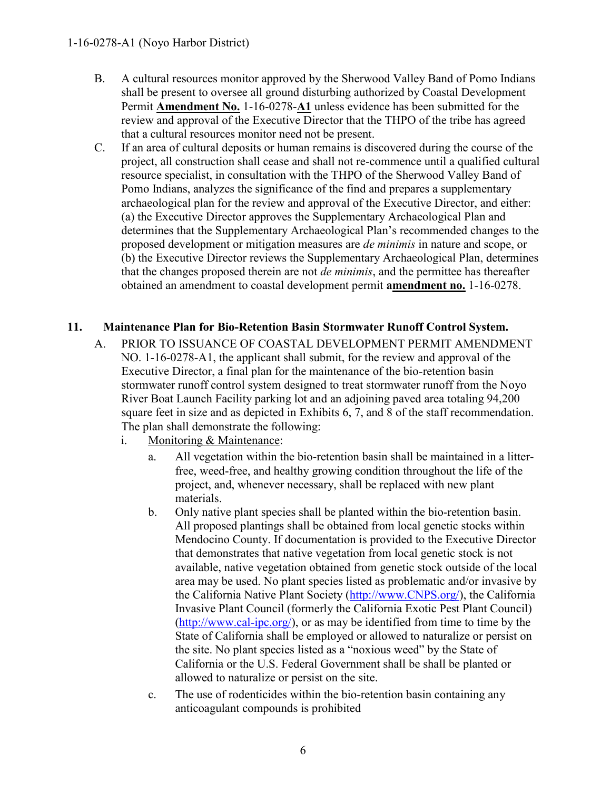- B. A cultural resources monitor approved by the Sherwood Valley Band of Pomo Indians shall be present to oversee all ground disturbing authorized by Coastal Development Permit **Amendment No.** 1-16-0278-**A1** unless evidence has been submitted for the review and approval of the Executive Director that the THPO of the tribe has agreed that a cultural resources monitor need not be present.
- C. If an area of cultural deposits or human remains is discovered during the course of the project, all construction shall cease and shall not re-commence until a qualified cultural resource specialist, in consultation with the THPO of the Sherwood Valley Band of Pomo Indians, analyzes the significance of the find and prepares a supplementary archaeological plan for the review and approval of the Executive Director, and either: (a) the Executive Director approves the Supplementary Archaeological Plan and determines that the Supplementary Archaeological Plan's recommended changes to the proposed development or mitigation measures are *de minimis* in nature and scope, or (b) the Executive Director reviews the Supplementary Archaeological Plan, determines that the changes proposed therein are not *de minimis*, and the permittee has thereafter obtained an amendment to coastal development permit **amendment no.** 1-16-0278.

## **11. Maintenance Plan for Bio-Retention Basin Stormwater Runoff Control System.**

- A. PRIOR TO ISSUANCE OF COASTAL DEVELOPMENT PERMIT AMENDMENT NO. 1-16-0278-A1, the applicant shall submit, for the review and approval of the Executive Director, a final plan for the maintenance of the bio-retention basin stormwater runoff control system designed to treat stormwater runoff from the Noyo River Boat Launch Facility parking lot and an adjoining paved area totaling 94,200 square feet in size and as depicted in Exhibits 6, 7, and 8 of the staff recommendation. The plan shall demonstrate the following:
	- i. Monitoring & Maintenance:
		- a. All vegetation within the bio-retention basin shall be maintained in a litterfree, weed-free, and healthy growing condition throughout the life of the project, and, whenever necessary, shall be replaced with new plant materials.
		- b. Only native plant species shall be planted within the bio-retention basin. All proposed plantings shall be obtained from local genetic stocks within Mendocino County. If documentation is provided to the Executive Director that demonstrates that native vegetation from local genetic stock is not available, native vegetation obtained from genetic stock outside of the local area may be used. No plant species listed as problematic and/or invasive by the California Native Plant Society [\(http://www.CNPS.org/\)](http://www.cnps.org/), the California Invasive Plant Council (formerly the California Exotic Pest Plant Council) [\(http://www.cal-ipc.org/\)](http://www.cal-ipc.org/), or as may be identified from time to time by the State of California shall be employed or allowed to naturalize or persist on the site. No plant species listed as a "noxious weed" by the State of California or the U.S. Federal Government shall be shall be planted or allowed to naturalize or persist on the site.
		- c. The use of rodenticides within the bio-retention basin containing any anticoagulant compounds is prohibited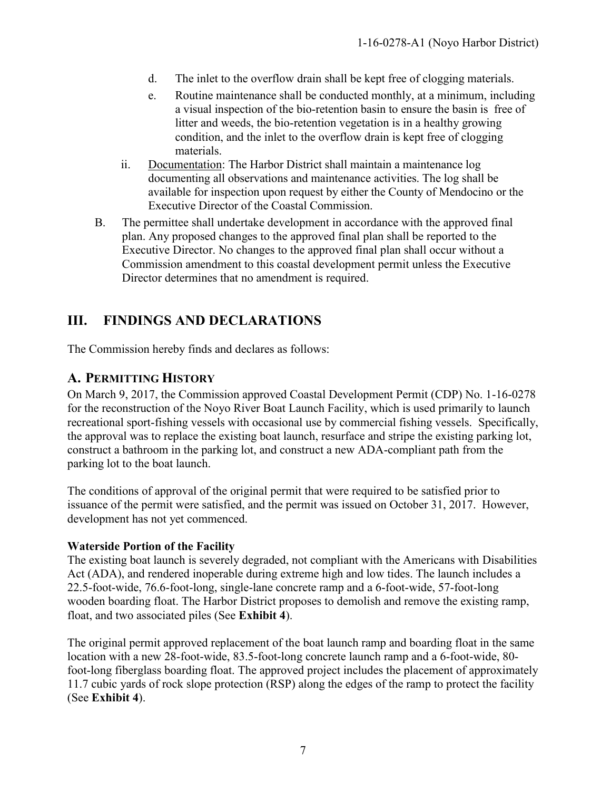- d. The inlet to the overflow drain shall be kept free of clogging materials.
- e. Routine maintenance shall be conducted monthly, at a minimum, including a visual inspection of the bio-retention basin to ensure the basin is free of litter and weeds, the bio-retention vegetation is in a healthy growing condition, and the inlet to the overflow drain is kept free of clogging materials.
- ii. Documentation: The Harbor District shall maintain a maintenance log documenting all observations and maintenance activities. The log shall be available for inspection upon request by either the County of Mendocino or the Executive Director of the Coastal Commission.
- B. The permittee shall undertake development in accordance with the approved final plan. Any proposed changes to the approved final plan shall be reported to the Executive Director. No changes to the approved final plan shall occur without a Commission amendment to this coastal development permit unless the Executive Director determines that no amendment is required.

# <span id="page-6-0"></span>**III. FINDINGS AND DECLARATIONS**

The Commission hereby finds and declares as follows:

# <span id="page-6-1"></span>**A. PERMITTING HISTORY**

On March 9, 2017, the Commission approved Coastal Development Permit (CDP) No. 1-16-0278 for the reconstruction of the Noyo River Boat Launch Facility, which is used primarily to launch recreational sport-fishing vessels with occasional use by commercial fishing vessels. Specifically, the approval was to replace the existing boat launch, resurface and stripe the existing parking lot, construct a bathroom in the parking lot, and construct a new ADA-compliant path from the parking lot to the boat launch.

The conditions of approval of the original permit that were required to be satisfied prior to issuance of the permit were satisfied, and the permit was issued on October 31, 2017. However, development has not yet commenced.

### **Waterside Portion of the Facility**

The existing boat launch is severely degraded, not compliant with the Americans with Disabilities Act (ADA), and rendered inoperable during extreme high and low tides. The launch includes a 22.5-foot-wide, 76.6-foot-long, single-lane concrete ramp and a 6-foot-wide, 57-foot-long wooden boarding float. The Harbor District proposes to demolish and remove the existing ramp, float, and two associated piles (See **Exhibit 4**).

The original permit approved replacement of the boat launch ramp and boarding float in the same location with a new 28-foot-wide, 83.5-foot-long concrete launch ramp and a 6-foot-wide, 80 foot-long fiberglass boarding float. The approved project includes the placement of approximately 11.7 cubic yards of rock slope protection (RSP) along the edges of the ramp to protect the facility (See **Exhibit 4**).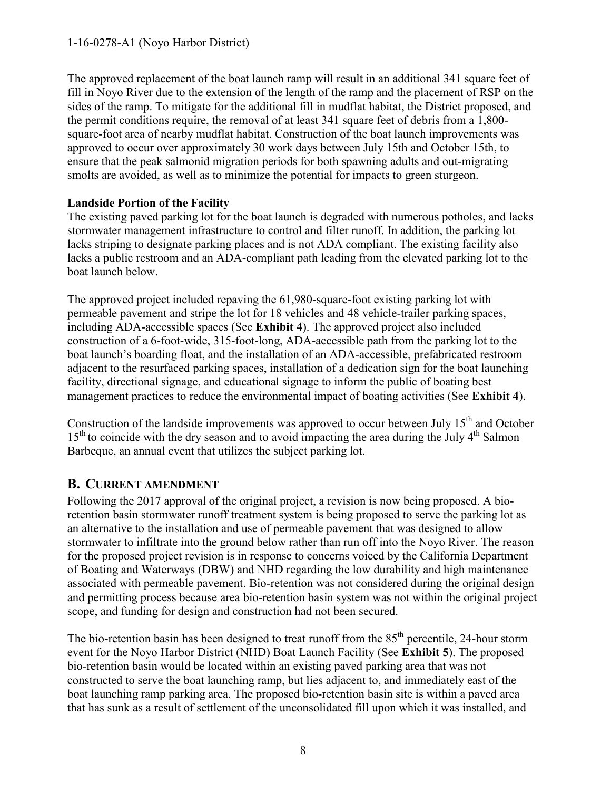The approved replacement of the boat launch ramp will result in an additional 341 square feet of fill in Noyo River due to the extension of the length of the ramp and the placement of RSP on the sides of the ramp. To mitigate for the additional fill in mudflat habitat, the District proposed, and the permit conditions require, the removal of at least 341 square feet of debris from a 1,800 square-foot area of nearby mudflat habitat. Construction of the boat launch improvements was approved to occur over approximately 30 work days between July 15th and October 15th, to ensure that the peak salmonid migration periods for both spawning adults and out-migrating smolts are avoided, as well as to minimize the potential for impacts to green sturgeon.

## **Landside Portion of the Facility**

The existing paved parking lot for the boat launch is degraded with numerous potholes, and lacks stormwater management infrastructure to control and filter runoff. In addition, the parking lot lacks striping to designate parking places and is not ADA compliant. The existing facility also lacks a public restroom and an ADA-compliant path leading from the elevated parking lot to the boat launch below.

The approved project included repaving the 61,980-square-foot existing parking lot with permeable pavement and stripe the lot for 18 vehicles and 48 vehicle-trailer parking spaces, including ADA-accessible spaces (See **Exhibit 4**). The approved project also included construction of a 6-foot-wide, 315-foot-long, ADA-accessible path from the parking lot to the boat launch's boarding float, and the installation of an ADA-accessible, prefabricated restroom adjacent to the resurfaced parking spaces, installation of a dedication sign for the boat launching facility, directional signage, and educational signage to inform the public of boating best management practices to reduce the environmental impact of boating activities (See **Exhibit 4**).

Construction of the landside improvements was approved to occur between July 15<sup>th</sup> and October  $15<sup>th</sup>$  to coincide with the dry season and to avoid impacting the area during the July  $4<sup>th</sup>$  Salmon Barbeque, an annual event that utilizes the subject parking lot.

# <span id="page-7-0"></span>**B. CURRENT AMENDMENT**

Following the 2017 approval of the original project, a revision is now being proposed. A bioretention basin stormwater runoff treatment system is being proposed to serve the parking lot as an alternative to the installation and use of permeable pavement that was designed to allow stormwater to infiltrate into the ground below rather than run off into the Noyo River. The reason for the proposed project revision is in response to concerns voiced by the California Department of Boating and Waterways (DBW) and NHD regarding the low durability and high maintenance associated with permeable pavement. Bio-retention was not considered during the original design and permitting process because area bio-retention basin system was not within the original project scope, and funding for design and construction had not been secured.

The bio-retention basin has been designed to treat runoff from the  $85<sup>th</sup>$  percentile, 24-hour storm event for the Noyo Harbor District (NHD) Boat Launch Facility (See **Exhibit 5**). The proposed bio-retention basin would be located within an existing paved parking area that was not constructed to serve the boat launching ramp, but lies adjacent to, and immediately east of the boat launching ramp parking area. The proposed bio-retention basin site is within a paved area that has sunk as a result of settlement of the unconsolidated fill upon which it was installed, and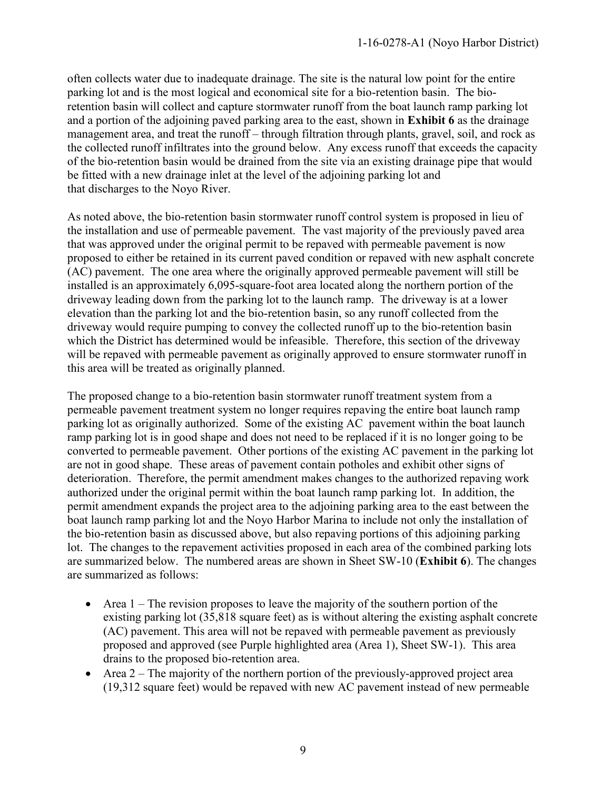often collects water due to inadequate drainage. The site is the natural low point for the entire parking lot and is the most logical and economical site for a bio-retention basin. The bioretention basin will collect and capture stormwater runoff from the boat launch ramp parking lot and a portion of the adjoining paved parking area to the east, shown in **Exhibit 6** as the drainage management area, and treat the runoff – through filtration through plants, gravel, soil, and rock as the collected runoff infiltrates into the ground below. Any excess runoff that exceeds the capacity of the bio-retention basin would be drained from the site via an existing drainage pipe that would be fitted with a new drainage inlet at the level of the adjoining parking lot and that discharges to the Noyo River.

As noted above, the bio-retention basin stormwater runoff control system is proposed in lieu of the installation and use of permeable pavement. The vast majority of the previously paved area that was approved under the original permit to be repaved with permeable pavement is now proposed to either be retained in its current paved condition or repaved with new asphalt concrete (AC) pavement. The one area where the originally approved permeable pavement will still be installed is an approximately 6,095-square-foot area located along the northern portion of the driveway leading down from the parking lot to the launch ramp. The driveway is at a lower elevation than the parking lot and the bio-retention basin, so any runoff collected from the driveway would require pumping to convey the collected runoff up to the bio-retention basin which the District has determined would be infeasible. Therefore, this section of the driveway will be repaved with permeable pavement as originally approved to ensure stormwater runoff in this area will be treated as originally planned.

The proposed change to a bio-retention basin stormwater runoff treatment system from a permeable pavement treatment system no longer requires repaving the entire boat launch ramp parking lot as originally authorized. Some of the existing AC pavement within the boat launch ramp parking lot is in good shape and does not need to be replaced if it is no longer going to be converted to permeable pavement. Other portions of the existing AC pavement in the parking lot are not in good shape. These areas of pavement contain potholes and exhibit other signs of deterioration. Therefore, the permit amendment makes changes to the authorized repaving work authorized under the original permit within the boat launch ramp parking lot. In addition, the permit amendment expands the project area to the adjoining parking area to the east between the boat launch ramp parking lot and the Noyo Harbor Marina to include not only the installation of the bio-retention basin as discussed above, but also repaving portions of this adjoining parking lot. The changes to the repavement activities proposed in each area of the combined parking lots are summarized below. The numbered areas are shown in Sheet SW-10 (**Exhibit 6**). The changes are summarized as follows:

- $\bullet$  Area 1 The revision proposes to leave the majority of the southern portion of the existing parking lot (35,818 square feet) as is without altering the existing asphalt concrete (AC) pavement. This area will not be repaved with permeable pavement as previously proposed and approved (see Purple highlighted area (Area 1), Sheet SW-1). This area drains to the proposed bio-retention area.
- Area  $2$  The majority of the northern portion of the previously-approved project area (19,312 square feet) would be repaved with new AC pavement instead of new permeable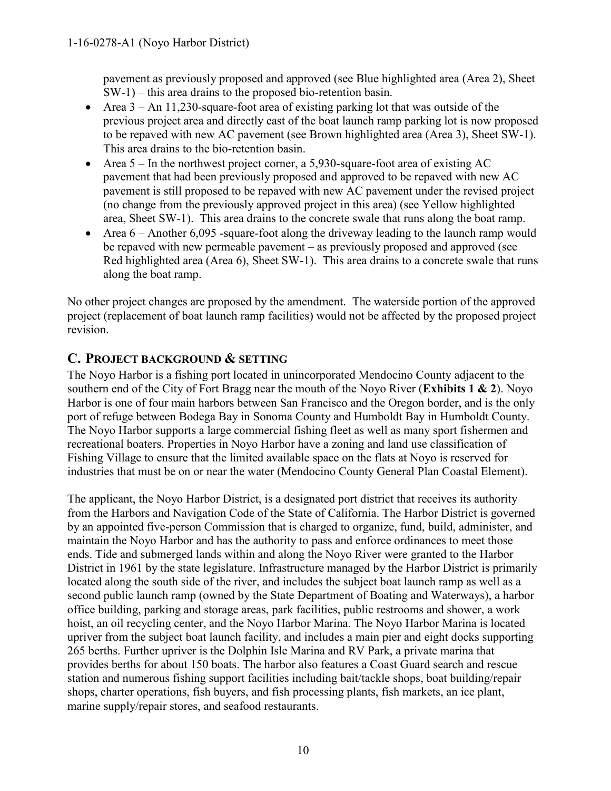pavement as previously proposed and approved (see Blue highlighted area (Area 2), Sheet SW-1) – this area drains to the proposed bio-retention basin.

- Area  $3 An 11,230$ -square-foot area of existing parking lot that was outside of the previous project area and directly east of the boat launch ramp parking lot is now proposed to be repaved with new AC pavement (see Brown highlighted area (Area 3), Sheet SW-1). This area drains to the bio-retention basin.
- Area  $5 -$  In the northwest project corner, a 5,930-square-foot area of existing AC pavement that had been previously proposed and approved to be repaved with new AC pavement is still proposed to be repaved with new AC pavement under the revised project (no change from the previously approved project in this area) (see Yellow highlighted area, Sheet SW-1). This area drains to the concrete swale that runs along the boat ramp.
- Area  $6 -$  Another 6,095 -square-foot along the driveway leading to the launch ramp would be repaved with new permeable pavement – as previously proposed and approved (see Red highlighted area (Area 6), Sheet SW-1). This area drains to a concrete swale that runs along the boat ramp.

No other project changes are proposed by the amendment. The waterside portion of the approved project (replacement of boat launch ramp facilities) would not be affected by the proposed project revision.

# <span id="page-9-0"></span>**C. PROJECT BACKGROUND & SETTING**

The Noyo Harbor is a fishing port located in unincorporated Mendocino County adjacent to the southern end of the City of Fort Bragg near the mouth of the Noyo River (**Exhibits 1 & 2**). Noyo Harbor is one of four main harbors between San Francisco and the Oregon border, and is the only port of refuge between Bodega Bay in Sonoma County and Humboldt Bay in Humboldt County. The Noyo Harbor supports a large commercial fishing fleet as well as many sport fishermen and recreational boaters. Properties in Noyo Harbor have a zoning and land use classification of Fishing Village to ensure that the limited available space on the flats at Noyo is reserved for industries that must be on or near the water (Mendocino County General Plan Coastal Element).

The applicant, the Noyo Harbor District, is a designated port district that receives its authority from the Harbors and Navigation Code of the State of California. The Harbor District is governed by an appointed five-person Commission that is charged to organize, fund, build, administer, and maintain the Noyo Harbor and has the authority to pass and enforce ordinances to meet those ends. Tide and submerged lands within and along the Noyo River were granted to the Harbor District in 1961 by the state legislature. Infrastructure managed by the Harbor District is primarily located along the south side of the river, and includes the subject boat launch ramp as well as a second public launch ramp (owned by the State Department of Boating and Waterways), a harbor office building, parking and storage areas, park facilities, public restrooms and shower, a work hoist, an oil recycling center, and the Noyo Harbor Marina. The Noyo Harbor Marina is located upriver from the subject boat launch facility, and includes a main pier and eight docks supporting 265 berths. Further upriver is the Dolphin Isle Marina and RV Park, a private marina that provides berths for about 150 boats. The harbor also features a Coast Guard search and rescue station and numerous fishing support facilities including bait/tackle shops, boat building/repair shops, charter operations, fish buyers, and fish processing plants, fish markets, an ice plant, marine supply/repair stores, and seafood restaurants.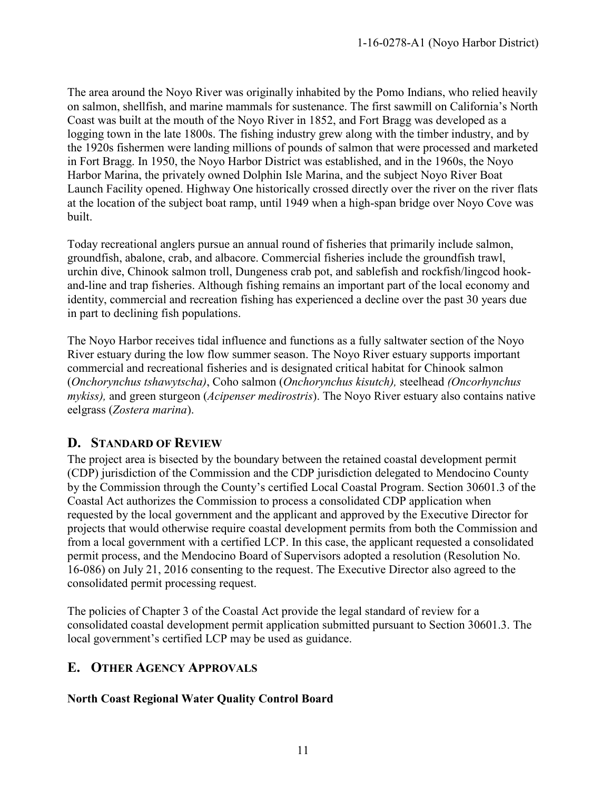The area around the Noyo River was originally inhabited by the Pomo Indians, who relied heavily on salmon, shellfish, and marine mammals for sustenance. The first sawmill on California's North Coast was built at the mouth of the Noyo River in 1852, and Fort Bragg was developed as a logging town in the late 1800s. The fishing industry grew along with the timber industry, and by the 1920s fishermen were landing millions of pounds of salmon that were processed and marketed in Fort Bragg. In 1950, the Noyo Harbor District was established, and in the 1960s, the Noyo Harbor Marina, the privately owned Dolphin Isle Marina, and the subject Noyo River Boat Launch Facility opened. Highway One historically crossed directly over the river on the river flats at the location of the subject boat ramp, until 1949 when a high-span bridge over Noyo Cove was built.

Today recreational anglers pursue an annual round of fisheries that primarily include salmon, groundfish, abalone, crab, and albacore. Commercial fisheries include the groundfish trawl, urchin dive, Chinook salmon troll, Dungeness crab pot, and sablefish and rockfish/lingcod hookand-line and trap fisheries. Although fishing remains an important part of the local economy and identity, commercial and recreation fishing has experienced a decline over the past 30 years due in part to declining fish populations.

The Noyo Harbor receives tidal influence and functions as a fully saltwater section of the Noyo River estuary during the low flow summer season. The Noyo River estuary supports important commercial and recreational fisheries and is designated critical habitat for Chinook salmon (*Onchorynchus tshawytscha)*, Coho salmon (*Onchorynchus kisutch),* steelhead *(Oncorhynchus mykiss),* and green sturgeon (*Acipenser medirostris*). The Noyo River estuary also contains native eelgrass (*Zostera marina*).

# <span id="page-10-0"></span>**D. STANDARD OF REVIEW**

The project area is bisected by the boundary between the retained coastal development permit (CDP) jurisdiction of the Commission and the CDP jurisdiction delegated to Mendocino County by the Commission through the County's certified Local Coastal Program. Section 30601.3 of the Coastal Act authorizes the Commission to process a consolidated CDP application when requested by the local government and the applicant and approved by the Executive Director for projects that would otherwise require coastal development permits from both the Commission and from a local government with a certified LCP. In this case, the applicant requested a consolidated permit process, and the Mendocino Board of Supervisors adopted a resolution (Resolution No. 16-086) on July 21, 2016 consenting to the request. The Executive Director also agreed to the consolidated permit processing request.

The policies of Chapter 3 of the Coastal Act provide the legal standard of review for a consolidated coastal development permit application submitted pursuant to Section 30601.3. The local government's certified LCP may be used as guidance.

# <span id="page-10-1"></span>**E. OTHER AGENCY APPROVALS**

## **North Coast Regional Water Quality Control Board**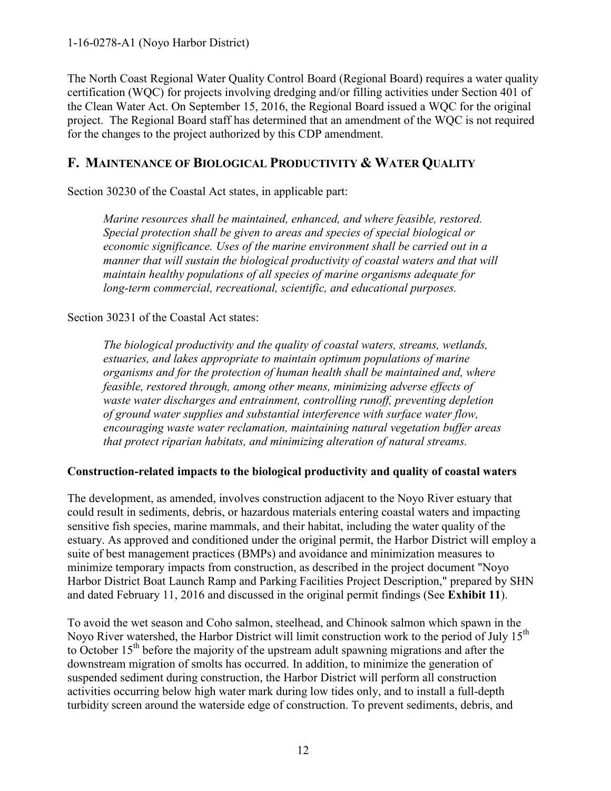The North Coast Regional Water Quality Control Board (Regional Board) requires a water quality certification (WQC) for projects involving dredging and/or filling activities under Section 401 of the Clean Water Act. On September 15, 2016, the Regional Board issued a WQC for the original project. The Regional Board staff has determined that an amendment of the WQC is not required for the changes to the project authorized by this CDP amendment.

## <span id="page-11-0"></span>**F. MAINTENANCE OF BIOLOGICAL PRODUCTIVITY & WATER QUALITY**

Section 30230 of the Coastal Act states, in applicable part:

*Marine resources shall be maintained, enhanced, and where feasible, restored. Special protection shall be given to areas and species of special biological or economic significance. Uses of the marine environment shall be carried out in a manner that will sustain the biological productivity of coastal waters and that will maintain healthy populations of all species of marine organisms adequate for long-term commercial, recreational, scientific, and educational purposes.* 

#### Section 30231 of the Coastal Act states:

*The biological productivity and the quality of coastal waters, streams, wetlands, estuaries, and lakes appropriate to maintain optimum populations of marine organisms and for the protection of human health shall be maintained and, where feasible, restored through, among other means, minimizing adverse effects of waste water discharges and entrainment, controlling runoff, preventing depletion of ground water supplies and substantial interference with surface water flow, encouraging waste water reclamation, maintaining natural vegetation buffer areas that protect riparian habitats, and minimizing alteration of natural streams.* 

### **Construction-related impacts to the biological productivity and quality of coastal waters**

The development, as amended, involves construction adjacent to the Noyo River estuary that could result in sediments, debris, or hazardous materials entering coastal waters and impacting sensitive fish species, marine mammals, and their habitat, including the water quality of the estuary. As approved and conditioned under the original permit, the Harbor District will employ a suite of best management practices (BMPs) and avoidance and minimization measures to minimize temporary impacts from construction, as described in the project document "Noyo Harbor District Boat Launch Ramp and Parking Facilities Project Description," prepared by SHN and dated February 11, 2016 and discussed in the original permit findings (See **Exhibit 11**).

To avoid the wet season and Coho salmon, steelhead, and Chinook salmon which spawn in the Noyo River watershed, the Harbor District will limit construction work to the period of July 15<sup>th</sup> to October  $15<sup>th</sup>$  before the majority of the upstream adult spawning migrations and after the downstream migration of smolts has occurred. In addition, to minimize the generation of suspended sediment during construction, the Harbor District will perform all construction activities occurring below high water mark during low tides only, and to install a full-depth turbidity screen around the waterside edge of construction. To prevent sediments, debris, and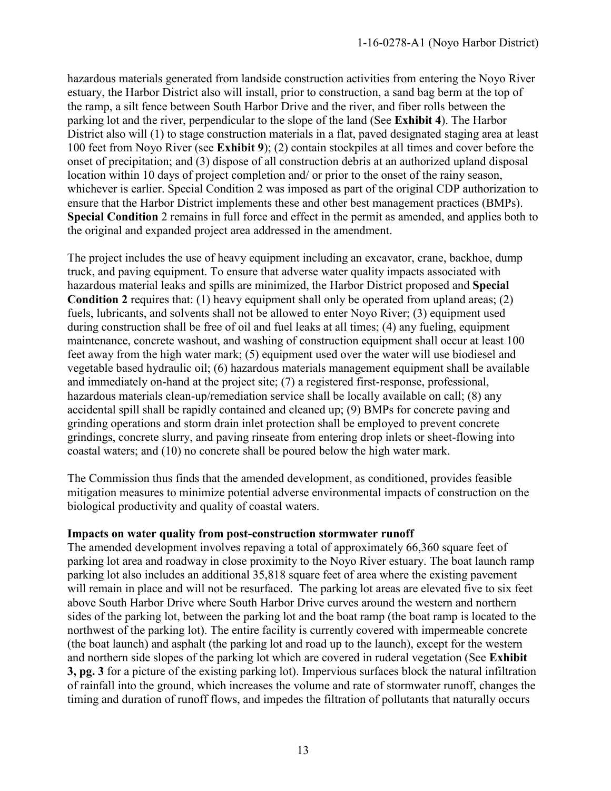hazardous materials generated from landside construction activities from entering the Noyo River estuary, the Harbor District also will install, prior to construction, a sand bag berm at the top of the ramp, a silt fence between South Harbor Drive and the river, and fiber rolls between the parking lot and the river, perpendicular to the slope of the land (See **Exhibit 4**). The Harbor District also will (1) to stage construction materials in a flat, paved designated staging area at least 100 feet from Noyo River (see **Exhibit 9**); (2) contain stockpiles at all times and cover before the onset of precipitation; and (3) dispose of all construction debris at an authorized upland disposal location within 10 days of project completion and/ or prior to the onset of the rainy season, whichever is earlier. Special Condition 2 was imposed as part of the original CDP authorization to ensure that the Harbor District implements these and other best management practices (BMPs). **Special Condition** 2 remains in full force and effect in the permit as amended, and applies both to the original and expanded project area addressed in the amendment.

The project includes the use of heavy equipment including an excavator, crane, backhoe, dump truck, and paving equipment. To ensure that adverse water quality impacts associated with hazardous material leaks and spills are minimized, the Harbor District proposed and **Special Condition 2** requires that: (1) heavy equipment shall only be operated from upland areas; (2) fuels, lubricants, and solvents shall not be allowed to enter Noyo River; (3) equipment used during construction shall be free of oil and fuel leaks at all times; (4) any fueling, equipment maintenance, concrete washout, and washing of construction equipment shall occur at least 100 feet away from the high water mark; (5) equipment used over the water will use biodiesel and vegetable based hydraulic oil; (6) hazardous materials management equipment shall be available and immediately on-hand at the project site; (7) a registered first-response, professional, hazardous materials clean-up/remediation service shall be locally available on call; (8) any accidental spill shall be rapidly contained and cleaned up; (9) BMPs for concrete paving and grinding operations and storm drain inlet protection shall be employed to prevent concrete grindings, concrete slurry, and paving rinseate from entering drop inlets or sheet-flowing into coastal waters; and (10) no concrete shall be poured below the high water mark.

The Commission thus finds that the amended development, as conditioned, provides feasible mitigation measures to minimize potential adverse environmental impacts of construction on the biological productivity and quality of coastal waters.

#### **Impacts on water quality from post-construction stormwater runoff**

The amended development involves repaving a total of approximately 66,360 square feet of parking lot area and roadway in close proximity to the Noyo River estuary. The boat launch ramp parking lot also includes an additional 35,818 square feet of area where the existing pavement will remain in place and will not be resurfaced. The parking lot areas are elevated five to six feet above South Harbor Drive where South Harbor Drive curves around the western and northern sides of the parking lot, between the parking lot and the boat ramp (the boat ramp is located to the northwest of the parking lot). The entire facility is currently covered with impermeable concrete (the boat launch) and asphalt (the parking lot and road up to the launch), except for the western and northern side slopes of the parking lot which are covered in ruderal vegetation (See **Exhibit 3, pg. 3** for a picture of the existing parking lot). Impervious surfaces block the natural infiltration of rainfall into the ground, which increases the volume and rate of stormwater runoff, changes the timing and duration of runoff flows, and impedes the filtration of pollutants that naturally occurs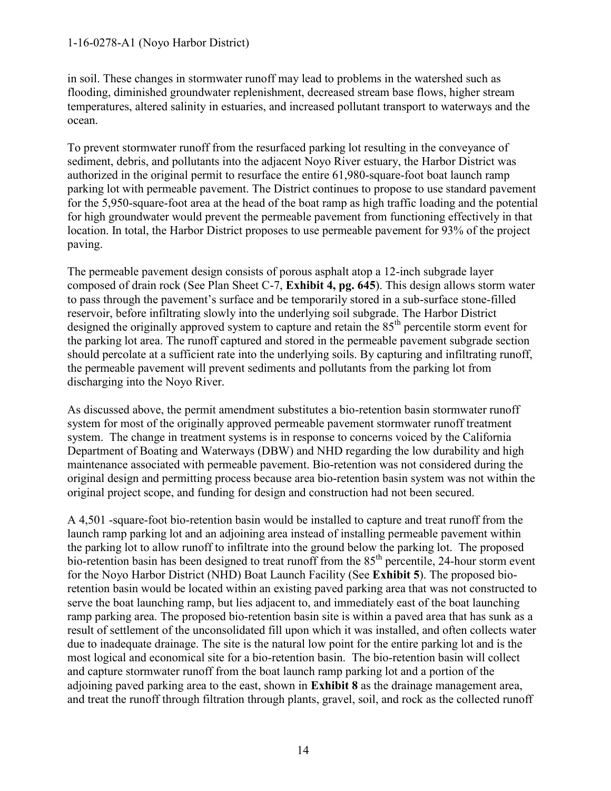#### 1-16-0278-A1 (Noyo Harbor District)

in soil. These changes in stormwater runoff may lead to problems in the watershed such as flooding, diminished groundwater replenishment, decreased stream base flows, higher stream temperatures, altered salinity in estuaries, and increased pollutant transport to waterways and the ocean.

To prevent stormwater runoff from the resurfaced parking lot resulting in the conveyance of sediment, debris, and pollutants into the adjacent Noyo River estuary, the Harbor District was authorized in the original permit to resurface the entire 61,980-square-foot boat launch ramp parking lot with permeable pavement. The District continues to propose to use standard pavement for the 5,950-square-foot area at the head of the boat ramp as high traffic loading and the potential for high groundwater would prevent the permeable pavement from functioning effectively in that location. In total, the Harbor District proposes to use permeable pavement for 93% of the project paving.

The permeable pavement design consists of porous asphalt atop a 12-inch subgrade layer composed of drain rock (See Plan Sheet C-7, **Exhibit 4, pg. 645**). This design allows storm water to pass through the pavement's surface and be temporarily stored in a sub-surface stone-filled reservoir, before infiltrating slowly into the underlying soil subgrade. The Harbor District designed the originally approved system to capture and retain the 85<sup>th</sup> percentile storm event for the parking lot area. The runoff captured and stored in the permeable pavement subgrade section should percolate at a sufficient rate into the underlying soils. By capturing and infiltrating runoff, the permeable pavement will prevent sediments and pollutants from the parking lot from discharging into the Noyo River.

As discussed above, the permit amendment substitutes a bio-retention basin stormwater runoff system for most of the originally approved permeable pavement stormwater runoff treatment system. The change in treatment systems is in response to concerns voiced by the California Department of Boating and Waterways (DBW) and NHD regarding the low durability and high maintenance associated with permeable pavement. Bio-retention was not considered during the original design and permitting process because area bio-retention basin system was not within the original project scope, and funding for design and construction had not been secured.

A 4,501 -square-foot bio-retention basin would be installed to capture and treat runoff from the launch ramp parking lot and an adjoining area instead of installing permeable pavement within the parking lot to allow runoff to infiltrate into the ground below the parking lot. The proposed bio-retention basin has been designed to treat runoff from the 85<sup>th</sup> percentile, 24-hour storm event for the Noyo Harbor District (NHD) Boat Launch Facility (See **Exhibit 5**). The proposed bioretention basin would be located within an existing paved parking area that was not constructed to serve the boat launching ramp, but lies adjacent to, and immediately east of the boat launching ramp parking area. The proposed bio-retention basin site is within a paved area that has sunk as a result of settlement of the unconsolidated fill upon which it was installed, and often collects water due to inadequate drainage. The site is the natural low point for the entire parking lot and is the most logical and economical site for a bio-retention basin. The bio-retention basin will collect and capture stormwater runoff from the boat launch ramp parking lot and a portion of the adjoining paved parking area to the east, shown in **Exhibit 8** as the drainage management area, and treat the runoff through filtration through plants, gravel, soil, and rock as the collected runoff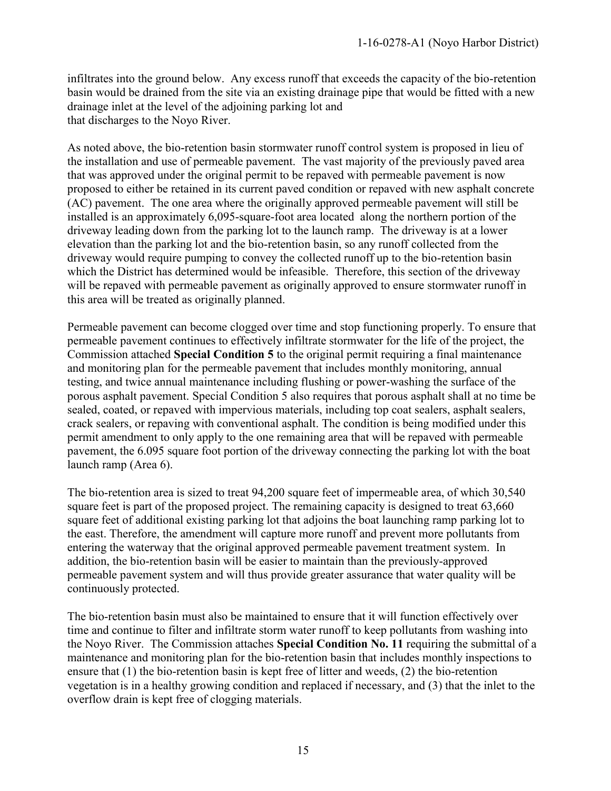infiltrates into the ground below. Any excess runoff that exceeds the capacity of the bio-retention basin would be drained from the site via an existing drainage pipe that would be fitted with a new drainage inlet at the level of the adjoining parking lot and that discharges to the Noyo River.

As noted above, the bio-retention basin stormwater runoff control system is proposed in lieu of the installation and use of permeable pavement. The vast majority of the previously paved area that was approved under the original permit to be repaved with permeable pavement is now proposed to either be retained in its current paved condition or repaved with new asphalt concrete (AC) pavement. The one area where the originally approved permeable pavement will still be installed is an approximately 6,095-square-foot area located along the northern portion of the driveway leading down from the parking lot to the launch ramp. The driveway is at a lower elevation than the parking lot and the bio-retention basin, so any runoff collected from the driveway would require pumping to convey the collected runoff up to the bio-retention basin which the District has determined would be infeasible. Therefore, this section of the driveway will be repaved with permeable pavement as originally approved to ensure stormwater runoff in this area will be treated as originally planned.

Permeable pavement can become clogged over time and stop functioning properly. To ensure that permeable pavement continues to effectively infiltrate stormwater for the life of the project, the Commission attached **Special Condition 5** to the original permit requiring a final maintenance and monitoring plan for the permeable pavement that includes monthly monitoring, annual testing, and twice annual maintenance including flushing or power-washing the surface of the porous asphalt pavement. Special Condition 5 also requires that porous asphalt shall at no time be sealed, coated, or repaved with impervious materials, including top coat sealers, asphalt sealers, crack sealers, or repaving with conventional asphalt. The condition is being modified under this permit amendment to only apply to the one remaining area that will be repaved with permeable pavement, the 6.095 square foot portion of the driveway connecting the parking lot with the boat launch ramp (Area 6).

The bio-retention area is sized to treat 94,200 square feet of impermeable area, of which 30,540 square feet is part of the proposed project. The remaining capacity is designed to treat 63,660 square feet of additional existing parking lot that adjoins the boat launching ramp parking lot to the east. Therefore, the amendment will capture more runoff and prevent more pollutants from entering the waterway that the original approved permeable pavement treatment system. In addition, the bio-retention basin will be easier to maintain than the previously-approved permeable pavement system and will thus provide greater assurance that water quality will be continuously protected.

The bio-retention basin must also be maintained to ensure that it will function effectively over time and continue to filter and infiltrate storm water runoff to keep pollutants from washing into the Noyo River. The Commission attaches **Special Condition No. 11** requiring the submittal of a maintenance and monitoring plan for the bio-retention basin that includes monthly inspections to ensure that (1) the bio-retention basin is kept free of litter and weeds, (2) the bio-retention vegetation is in a healthy growing condition and replaced if necessary, and (3) that the inlet to the overflow drain is kept free of clogging materials.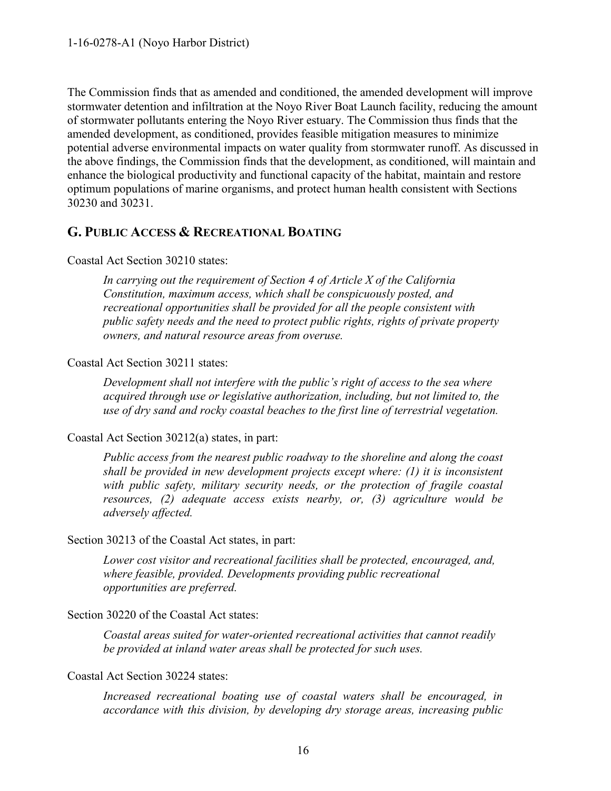The Commission finds that as amended and conditioned, the amended development will improve stormwater detention and infiltration at the Noyo River Boat Launch facility, reducing the amount of stormwater pollutants entering the Noyo River estuary. The Commission thus finds that the amended development, as conditioned, provides feasible mitigation measures to minimize potential adverse environmental impacts on water quality from stormwater runoff. As discussed in the above findings, the Commission finds that the development, as conditioned, will maintain and enhance the biological productivity and functional capacity of the habitat, maintain and restore optimum populations of marine organisms, and protect human health consistent with Sections 30230 and 30231.

## <span id="page-15-0"></span>**G. PUBLIC ACCESS & RECREATIONAL BOATING**

#### Coastal Act Section 30210 states:

*In carrying out the requirement of Section 4 of Article X of the California Constitution, maximum access, which shall be conspicuously posted, and recreational opportunities shall be provided for all the people consistent with public safety needs and the need to protect public rights, rights of private property owners, and natural resource areas from overuse.* 

#### Coastal Act Section 30211 states:

*Development shall not interfere with the public's right of access to the sea where acquired through use or legislative authorization, including, but not limited to, the use of dry sand and rocky coastal beaches to the first line of terrestrial vegetation.* 

### Coastal Act Section 30212(a) states, in part:

*Public access from the nearest public roadway to the shoreline and along the coast shall be provided in new development projects except where: (1) it is inconsistent with public safety, military security needs, or the protection of fragile coastal resources, (2) adequate access exists nearby, or, (3) agriculture would be adversely affected.* 

### Section 30213 of the Coastal Act states, in part:

*Lower cost visitor and recreational facilities shall be protected, encouraged, and, where feasible, provided. Developments providing public recreational opportunities are preferred.* 

### Section 30220 of the Coastal Act states:

*Coastal areas suited for water-oriented recreational activities that cannot readily be provided at inland water areas shall be protected for such uses.* 

#### Coastal Act Section 30224 states:

*Increased recreational boating use of coastal waters shall be encouraged, in accordance with this division, by developing dry storage areas, increasing public*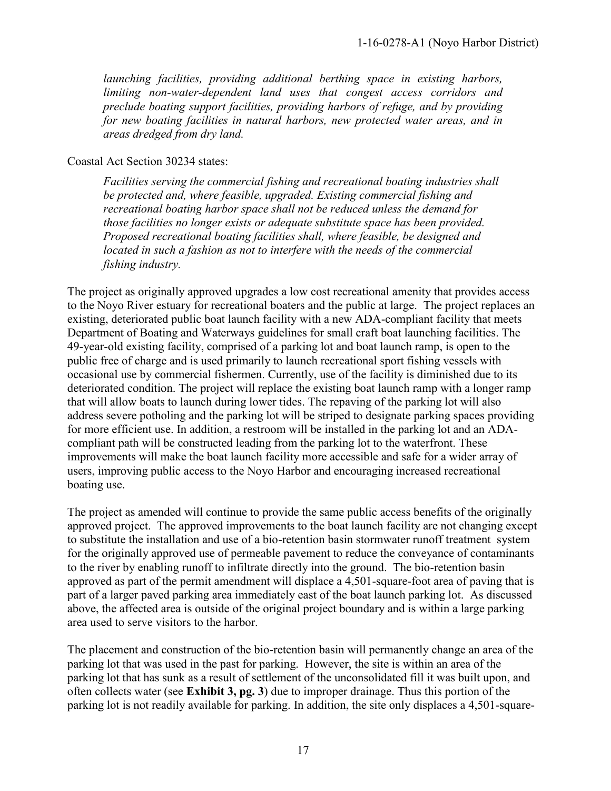*launching facilities, providing additional berthing space in existing harbors, limiting non-water-dependent land uses that congest access corridors and preclude boating support facilities, providing harbors of refuge, and by providing for new boating facilities in natural harbors, new protected water areas, and in areas dredged from dry land.*

#### Coastal Act Section 30234 states:

*Facilities serving the commercial fishing and recreational boating industries shall be protected and, where feasible, upgraded. Existing commercial fishing and recreational boating harbor space shall not be reduced unless the demand for those facilities no longer exists or adequate substitute space has been provided. Proposed recreational boating facilities shall, where feasible, be designed and located in such a fashion as not to interfere with the needs of the commercial fishing industry.* 

The project as originally approved upgrades a low cost recreational amenity that provides access to the Noyo River estuary for recreational boaters and the public at large. The project replaces an existing, deteriorated public boat launch facility with a new ADA-compliant facility that meets Department of Boating and Waterways guidelines for small craft boat launching facilities. The 49-year-old existing facility, comprised of a parking lot and boat launch ramp, is open to the public free of charge and is used primarily to launch recreational sport fishing vessels with occasional use by commercial fishermen. Currently, use of the facility is diminished due to its deteriorated condition. The project will replace the existing boat launch ramp with a longer ramp that will allow boats to launch during lower tides. The repaving of the parking lot will also address severe potholing and the parking lot will be striped to designate parking spaces providing for more efficient use. In addition, a restroom will be installed in the parking lot and an ADAcompliant path will be constructed leading from the parking lot to the waterfront. These improvements will make the boat launch facility more accessible and safe for a wider array of users, improving public access to the Noyo Harbor and encouraging increased recreational boating use.

The project as amended will continue to provide the same public access benefits of the originally approved project. The approved improvements to the boat launch facility are not changing except to substitute the installation and use of a bio-retention basin stormwater runoff treatment system for the originally approved use of permeable pavement to reduce the conveyance of contaminants to the river by enabling runoff to infiltrate directly into the ground. The bio-retention basin approved as part of the permit amendment will displace a 4,501-square-foot area of paving that is part of a larger paved parking area immediately east of the boat launch parking lot. As discussed above, the affected area is outside of the original project boundary and is within a large parking area used to serve visitors to the harbor.

The placement and construction of the bio-retention basin will permanently change an area of the parking lot that was used in the past for parking. However, the site is within an area of the parking lot that has sunk as a result of settlement of the unconsolidated fill it was built upon, and often collects water (see **Exhibit 3, pg. 3**) due to improper drainage. Thus this portion of the parking lot is not readily available for parking. In addition, the site only displaces a 4,501-square-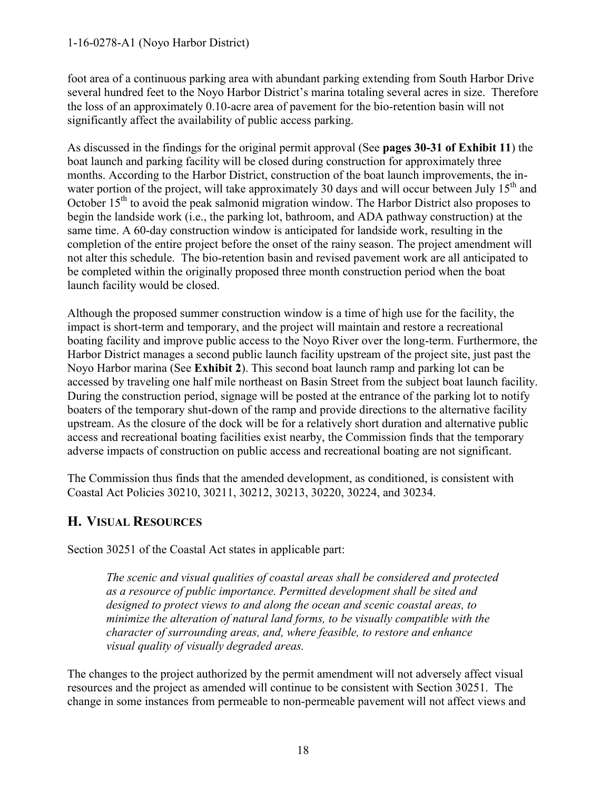#### 1-16-0278-A1 (Noyo Harbor District)

foot area of a continuous parking area with abundant parking extending from South Harbor Drive several hundred feet to the Noyo Harbor District's marina totaling several acres in size. Therefore the loss of an approximately 0.10-acre area of pavement for the bio-retention basin will not significantly affect the availability of public access parking.

As discussed in the findings for the original permit approval (See **pages 30-31 of Exhibit 11**) the boat launch and parking facility will be closed during construction for approximately three months. According to the Harbor District, construction of the boat launch improvements, the inwater portion of the project, will take approximately 30 days and will occur between July  $15<sup>th</sup>$  and October  $15<sup>th</sup>$  to avoid the peak salmonid migration window. The Harbor District also proposes to begin the landside work (i.e., the parking lot, bathroom, and ADA pathway construction) at the same time. A 60-day construction window is anticipated for landside work, resulting in the completion of the entire project before the onset of the rainy season. The project amendment will not alter this schedule. The bio-retention basin and revised pavement work are all anticipated to be completed within the originally proposed three month construction period when the boat launch facility would be closed.

Although the proposed summer construction window is a time of high use for the facility, the impact is short-term and temporary, and the project will maintain and restore a recreational boating facility and improve public access to the Noyo River over the long-term. Furthermore, the Harbor District manages a second public launch facility upstream of the project site, just past the Noyo Harbor marina (See **Exhibit 2**). This second boat launch ramp and parking lot can be accessed by traveling one half mile northeast on Basin Street from the subject boat launch facility. During the construction period, signage will be posted at the entrance of the parking lot to notify boaters of the temporary shut-down of the ramp and provide directions to the alternative facility upstream. As the closure of the dock will be for a relatively short duration and alternative public access and recreational boating facilities exist nearby, the Commission finds that the temporary adverse impacts of construction on public access and recreational boating are not significant.

The Commission thus finds that the amended development, as conditioned, is consistent with Coastal Act Policies 30210, 30211, 30212, 30213, 30220, 30224, and 30234.

# <span id="page-17-0"></span>**H. VISUAL RESOURCES**

Section 30251 of the Coastal Act states in applicable part:

*The scenic and visual qualities of coastal areas shall be considered and protected as a resource of public importance. Permitted development shall be sited and designed to protect views to and along the ocean and scenic coastal areas, to minimize the alteration of natural land forms, to be visually compatible with the character of surrounding areas, and, where feasible, to restore and enhance visual quality of visually degraded areas.* 

The changes to the project authorized by the permit amendment will not adversely affect visual resources and the project as amended will continue to be consistent with Section 30251. The change in some instances from permeable to non-permeable pavement will not affect views and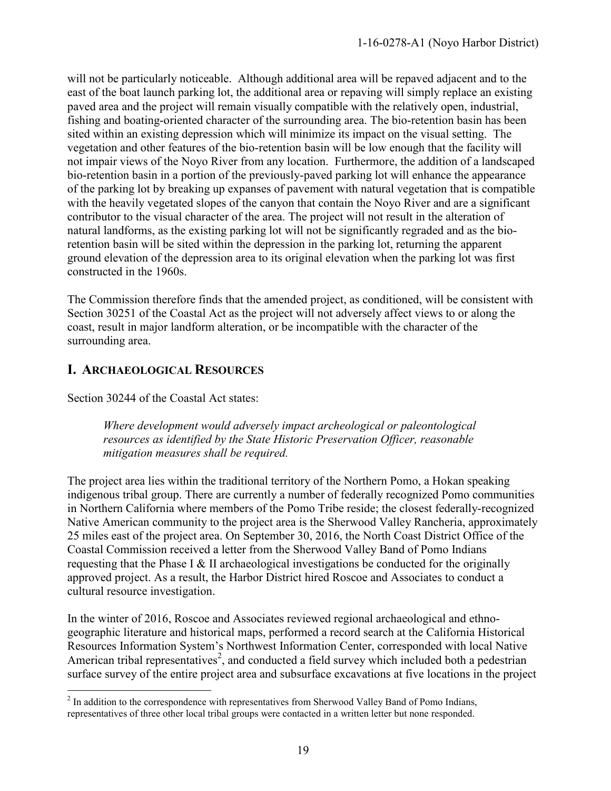will not be particularly noticeable. Although additional area will be repaved adjacent and to the east of the boat launch parking lot, the additional area or repaving will simply replace an existing paved area and the project will remain visually compatible with the relatively open, industrial, fishing and boating-oriented character of the surrounding area. The bio-retention basin has been sited within an existing depression which will minimize its impact on the visual setting. The vegetation and other features of the bio-retention basin will be low enough that the facility will not impair views of the Noyo River from any location. Furthermore, the addition of a landscaped bio-retention basin in a portion of the previously-paved parking lot will enhance the appearance of the parking lot by breaking up expanses of pavement with natural vegetation that is compatible with the heavily vegetated slopes of the canyon that contain the Noyo River and are a significant contributor to the visual character of the area. The project will not result in the alteration of natural landforms, as the existing parking lot will not be significantly regraded and as the bioretention basin will be sited within the depression in the parking lot, returning the apparent ground elevation of the depression area to its original elevation when the parking lot was first constructed in the 1960s.

The Commission therefore finds that the amended project, as conditioned, will be consistent with Section 30251 of the Coastal Act as the project will not adversely affect views to or along the coast, result in major landform alteration, or be incompatible with the character of the surrounding area.

# <span id="page-18-0"></span>**I. ARCHAEOLOGICAL RESOURCES**

Section 30244 of the Coastal Act states:

 *Where development would adversely impact archeological or paleontological resources as identified by the State Historic Preservation Officer, reasonable mitigation measures shall be required.* 

The project area lies within the traditional territory of the Northern Pomo, a Hokan speaking indigenous tribal group. There are currently a number of federally recognized Pomo communities in Northern California where members of the Pomo Tribe reside; the closest federally-recognized Native American community to the project area is the Sherwood Valley Rancheria, approximately 25 miles east of the project area. On September 30, 2016, the North Coast District Office of the Coastal Commission received a letter from the Sherwood Valley Band of Pomo Indians requesting that the Phase I & II archaeological investigations be conducted for the originally approved project. As a result, the Harbor District hired Roscoe and Associates to conduct a cultural resource investigation.

In the winter of 2016, Roscoe and Associates reviewed regional archaeological and ethnogeographic literature and historical maps, performed a record search at the California Historical Resources Information System's Northwest Information Center, corresponded with local Native American tribal representatives<sup>2</sup>, and conducted a field survey which included both a pedestrian surface survey of the entire project area and subsurface excavations at five locations in the project

<sup>&</sup>lt;sup>2</sup> In addition to the correspondence with representatives from Sherwood Valley Band of Pomo Indians, representatives of three other local tribal groups were contacted in a written letter but none responded.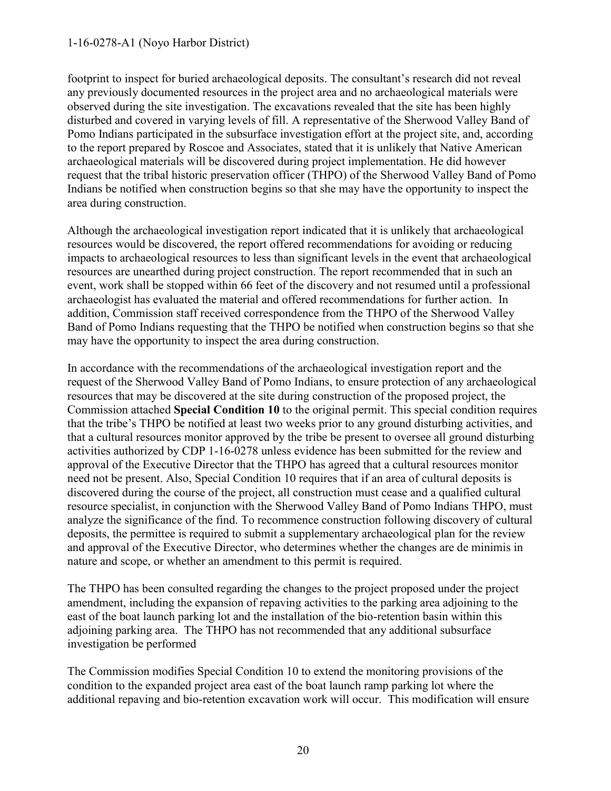#### 1-16-0278-A1 (Noyo Harbor District)

footprint to inspect for buried archaeological deposits. The consultant's research did not reveal any previously documented resources in the project area and no archaeological materials were observed during the site investigation. The excavations revealed that the site has been highly disturbed and covered in varying levels of fill. A representative of the Sherwood Valley Band of Pomo Indians participated in the subsurface investigation effort at the project site, and, according to the report prepared by Roscoe and Associates, stated that it is unlikely that Native American archaeological materials will be discovered during project implementation. He did however request that the tribal historic preservation officer (THPO) of the Sherwood Valley Band of Pomo Indians be notified when construction begins so that she may have the opportunity to inspect the area during construction.

Although the archaeological investigation report indicated that it is unlikely that archaeological resources would be discovered, the report offered recommendations for avoiding or reducing impacts to archaeological resources to less than significant levels in the event that archaeological resources are unearthed during project construction. The report recommended that in such an event, work shall be stopped within 66 feet of the discovery and not resumed until a professional archaeologist has evaluated the material and offered recommendations for further action. In addition, Commission staff received correspondence from the THPO of the Sherwood Valley Band of Pomo Indians requesting that the THPO be notified when construction begins so that she may have the opportunity to inspect the area during construction.

In accordance with the recommendations of the archaeological investigation report and the request of the Sherwood Valley Band of Pomo Indians, to ensure protection of any archaeological resources that may be discovered at the site during construction of the proposed project, the Commission attached **Special Condition 10** to the original permit. This special condition requires that the tribe's THPO be notified at least two weeks prior to any ground disturbing activities, and that a cultural resources monitor approved by the tribe be present to oversee all ground disturbing activities authorized by CDP 1-16-0278 unless evidence has been submitted for the review and approval of the Executive Director that the THPO has agreed that a cultural resources monitor need not be present. Also, Special Condition 10 requires that if an area of cultural deposits is discovered during the course of the project, all construction must cease and a qualified cultural resource specialist, in conjunction with the Sherwood Valley Band of Pomo Indians THPO, must analyze the significance of the find. To recommence construction following discovery of cultural deposits, the permittee is required to submit a supplementary archaeological plan for the review and approval of the Executive Director, who determines whether the changes are de minimis in nature and scope, or whether an amendment to this permit is required.

The THPO has been consulted regarding the changes to the project proposed under the project amendment, including the expansion of repaving activities to the parking area adjoining to the east of the boat launch parking lot and the installation of the bio-retention basin within this adjoining parking area. The THPO has not recommended that any additional subsurface investigation be performed

The Commission modifies Special Condition 10 to extend the monitoring provisions of the condition to the expanded project area east of the boat launch ramp parking lot where the additional repaving and bio-retention excavation work will occur. This modification will ensure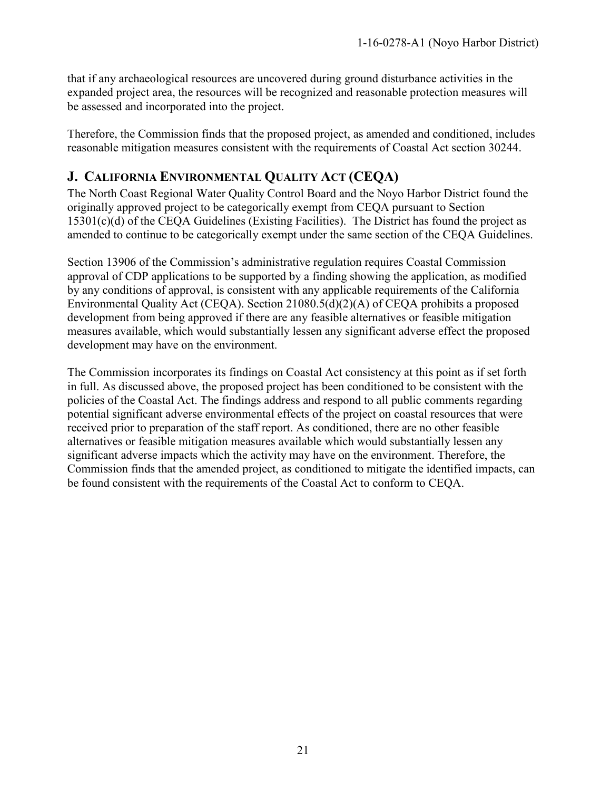that if any archaeological resources are uncovered during ground disturbance activities in the expanded project area, the resources will be recognized and reasonable protection measures will be assessed and incorporated into the project.

Therefore, the Commission finds that the proposed project, as amended and conditioned, includes reasonable mitigation measures consistent with the requirements of Coastal Act section 30244.

# <span id="page-20-0"></span>**J. CALIFORNIA ENVIRONMENTAL QUALITY ACT (CEQA)**

The North Coast Regional Water Quality Control Board and the Noyo Harbor District found the originally approved project to be categorically exempt from CEQA pursuant to Section 15301(c)(d) of the CEQA Guidelines (Existing Facilities). The District has found the project as amended to continue to be categorically exempt under the same section of the CEQA Guidelines.

Section 13906 of the Commission's administrative regulation requires Coastal Commission approval of CDP applications to be supported by a finding showing the application, as modified by any conditions of approval, is consistent with any applicable requirements of the California Environmental Quality Act (CEQA). Section 21080.5(d)(2)(A) of CEQA prohibits a proposed development from being approved if there are any feasible alternatives or feasible mitigation measures available, which would substantially lessen any significant adverse effect the proposed development may have on the environment.

The Commission incorporates its findings on Coastal Act consistency at this point as if set forth in full. As discussed above, the proposed project has been conditioned to be consistent with the policies of the Coastal Act. The findings address and respond to all public comments regarding potential significant adverse environmental effects of the project on coastal resources that were received prior to preparation of the staff report. As conditioned, there are no other feasible alternatives or feasible mitigation measures available which would substantially lessen any significant adverse impacts which the activity may have on the environment. Therefore, the Commission finds that the amended project, as conditioned to mitigate the identified impacts, can be found consistent with the requirements of the Coastal Act to conform to CEQA.